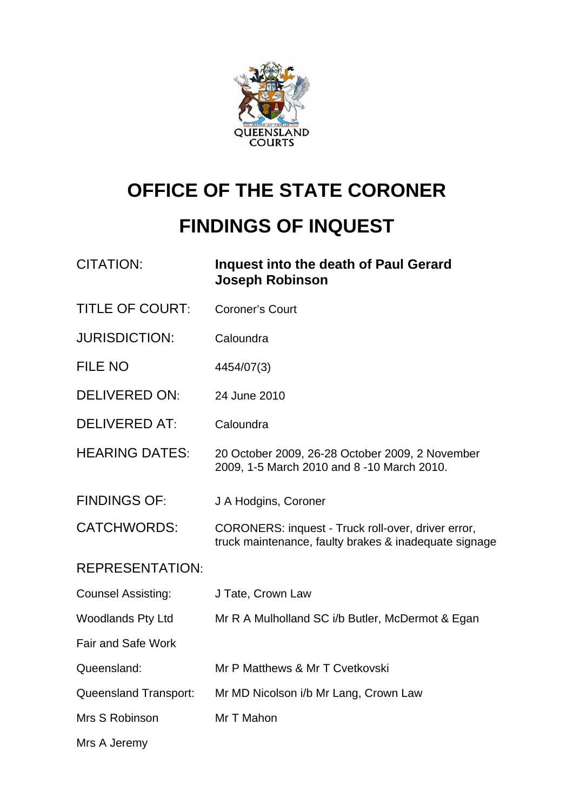

# **OFFICE OF THE STATE CORONER FINDINGS OF INQUEST**

| <b>CITATION:</b>          | Inquest into the death of Paul Gerard<br><b>Joseph Robinson</b>                                             |
|---------------------------|-------------------------------------------------------------------------------------------------------------|
| <b>TITLE OF COURT:</b>    | <b>Coroner's Court</b>                                                                                      |
| <b>JURISDICTION:</b>      | Caloundra                                                                                                   |
| <b>FILE NO</b>            | 4454/07(3)                                                                                                  |
| <b>DELIVERED ON:</b>      | 24 June 2010                                                                                                |
| <b>DELIVERED AT:</b>      | Caloundra                                                                                                   |
| <b>HEARING DATES:</b>     | 20 October 2009, 26-28 October 2009, 2 November<br>2009, 1-5 March 2010 and 8 -10 March 2010.               |
| <b>FINDINGS OF:</b>       | J A Hodgins, Coroner                                                                                        |
| <b>CATCHWORDS:</b>        | CORONERS: inquest - Truck roll-over, driver error,<br>truck maintenance, faulty brakes & inadequate signage |
| <b>REPRESENTATION:</b>    |                                                                                                             |
| <b>Counsel Assisting:</b> | J Tate, Crown Law                                                                                           |
| <b>Woodlands Pty Ltd</b>  | Mr R A Mulholland SC i/b Butler, McDermot & Egan                                                            |
| <b>Fair and Safe Work</b> |                                                                                                             |
| Queensland:               | Mr P Matthews & Mr T Cvetkovski                                                                             |
| Queensland Transport:     | Mr MD Nicolson i/b Mr Lang, Crown Law                                                                       |
| Mrs S Robinson            | Mr T Mahon                                                                                                  |
| Mrs A Jeremy              |                                                                                                             |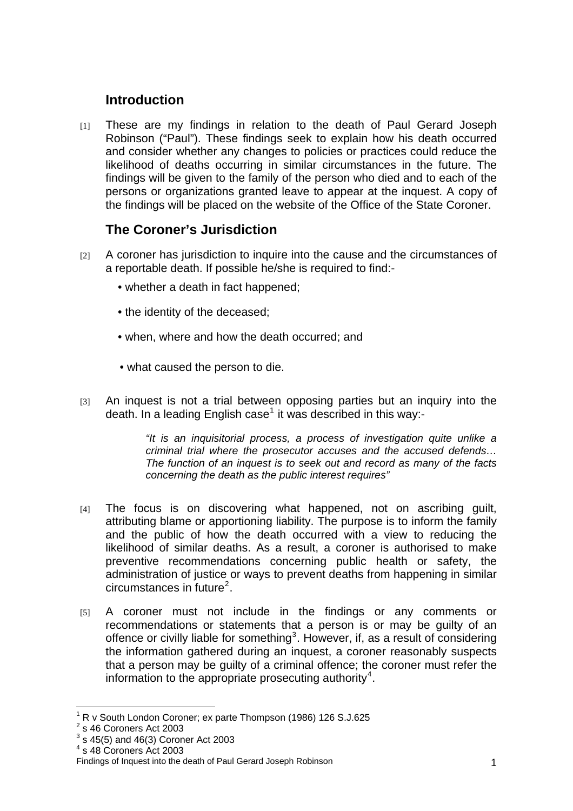# **Introduction**

[1] These are my findings in relation to the death of Paul Gerard Joseph Robinson ("Paul"). These findings seek to explain how his death occurred and consider whether any changes to policies or practices could reduce the likelihood of deaths occurring in similar circumstances in the future. The findings will be given to the family of the person who died and to each of the persons or organizations granted leave to appear at the inquest. A copy of the findings will be placed on the website of the Office of the State Coroner.

# **The Coroner's Jurisdiction**

- [2] A coroner has jurisdiction to inquire into the cause and the circumstances of a reportable death. If possible he/she is required to find:-
	- whether a death in fact happened;
	- the identity of the deceased;
	- when, where and how the death occurred; and
	- what caused the person to die.
- [3] An inquest is not a trial between opposing parties but an inquiry into the death. In a leading English case<sup>[1](#page-1-0)</sup> it was described in this way:-

*"It is an inquisitorial process, a process of investigation quite unlike a criminal trial where the prosecutor accuses and the accused defends… The function of an inquest is to seek out and record as many of the facts concerning the death as the public interest requires"* 

- $[4]$  The focus is on discovering what happened, not on ascribing guilt, attributing blame or apportioning liability. The purpose is to inform the family and the public of how the death occurred with a view to reducing the likelihood of similar deaths. As a result, a coroner is authorised to make preventive recommendations concerning public health or safety, the administration of justice or ways to prevent deaths from happening in similar  $circumstances$  in future<sup>[2](#page-1-1)</sup>.
- [5] A coroner must not include in the findings or any comments or recommendations or statements that a person is or may be guilty of an offence or civilly liable for something<sup>[3](#page-1-2)</sup>. However, if, as a result of considering the information gathered during an inquest, a coroner reasonably suspects that a person may be guilty of a criminal offence; the coroner must refer the information to the appropriate prosecuting authority<sup>[4](#page-1-3)</sup>.

 $\overline{a}$ 1 R v South London Coroner; ex parte Thompson (1986) 126 S.J.625 2

<span id="page-1-1"></span><span id="page-1-0"></span> $2^{\circ}$ s 46 Coroners Act 2003

<span id="page-1-2"></span> $3$  s 45(5) and 46(3) Coroner Act 2003

<sup>4</sup> s 48 Coroners Act 2003

<span id="page-1-3"></span>Findings of Inquest into the death of Paul Gerard Joseph Robinson 1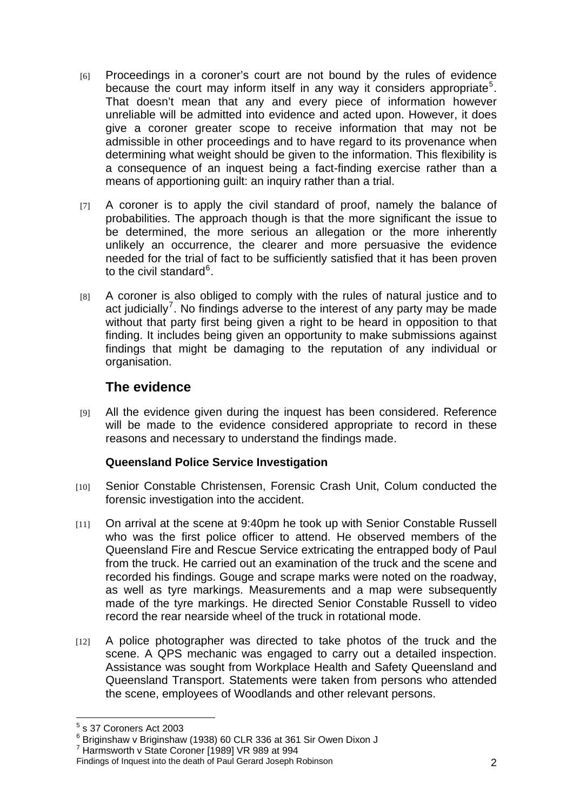- [6] Proceedings in a coroner's court are not bound by the rules of evidence because the court may inform itself in any way it considers appropriate<sup>[5](#page-2-0)</sup>. That doesn't mean that any and every piece of information however unreliable will be admitted into evidence and acted upon. However, it does give a coroner greater scope to receive information that may not be admissible in other proceedings and to have regard to its provenance when determining what weight should be given to the information. This flexibility is a consequence of an inquest being a fact-finding exercise rather than a means of apportioning guilt: an inquiry rather than a trial.
- [7] A coroner is to apply the civil standard of proof, namely the balance of probabilities. The approach though is that the more significant the issue to be determined, the more serious an allegation or the more inherently unlikely an occurrence, the clearer and more persuasive the evidence needed for the trial of fact to be sufficiently satisfied that it has been proven to the civil standard<sup>[6](#page-2-1)</sup>.
- [8] A coroner is also obliged to comply with the rules of natural justice and to act judicially<sup>[7](#page-2-2)</sup>. No findings adverse to the interest of any party may be made without that party first being given a right to be heard in opposition to that finding. It includes being given an opportunity to make submissions against findings that might be damaging to the reputation of any individual or organisation.

# **The evidence**

[9] All the evidence given during the inquest has been considered. Reference will be made to the evidence considered appropriate to record in these reasons and necessary to understand the findings made.

## **Queensland Police Service Investigation**

- [10] Senior Constable Christensen, Forensic Crash Unit, Colum conducted the forensic investigation into the accident.
- $[111]$  On arrival at the scene at 9:40pm he took up with Senior Constable Russell who was the first police officer to attend. He observed members of the Queensland Fire and Rescue Service extricating the entrapped body of Paul from the truck. He carried out an examination of the truck and the scene and recorded his findings. Gouge and scrape marks were noted on the roadway, as well as tyre markings. Measurements and a map were subsequently made of the tyre markings. He directed Senior Constable Russell to video record the rear nearside wheel of the truck in rotational mode.
- $[12]$  A police photographer was directed to take photos of the truck and the scene. A QPS mechanic was engaged to carry out a detailed inspection. Assistance was sought from Workplace Health and Safety Queensland and Queensland Transport. Statements were taken from persons who attended the scene, employees of Woodlands and other relevant persons.

<sup>&</sup>lt;u>5</u><br><sup>5</sup> s 37 Coroners Act 2003

<span id="page-2-1"></span><span id="page-2-0"></span><sup>6</sup> Briginshaw v Briginshaw (1938) 60 CLR 336 at 361 Sir Owen Dixon J

<sup>7</sup> Harmsworth v State Coroner [1989] VR 989 at 994

<span id="page-2-2"></span>Findings of Inquest into the death of Paul Gerard Joseph Robinson 2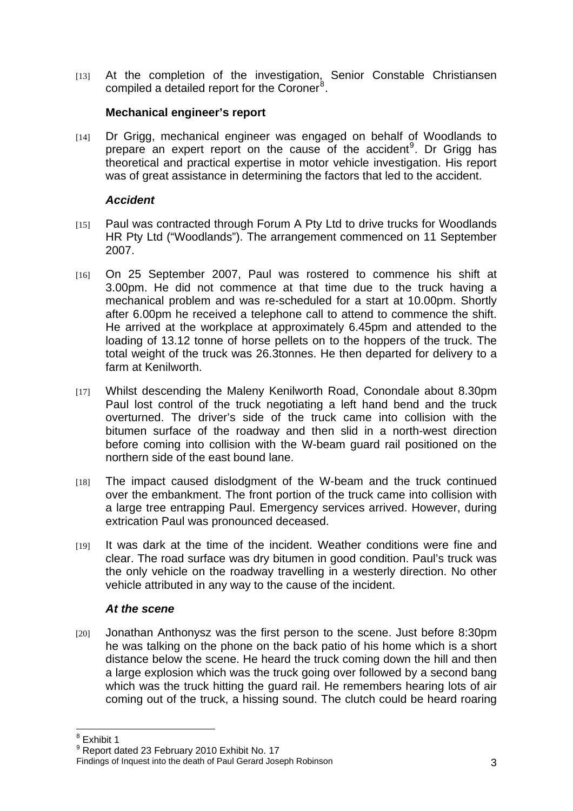[13] At the completion of the investigation, Senior Constable Christiansen compiled a detailed report for the Coroner<sup>[8](#page-3-0)</sup>.

## **Mechanical engineer's report**

[14] Dr Grigg, mechanical engineer was engaged on behalf of Woodlands to prepare an expert report on the cause of the accident<sup>[9](#page-3-1)</sup>. Dr Grigg has theoretical and practical expertise in motor vehicle investigation. His report was of great assistance in determining the factors that led to the accident.

## *Accident*

- [15] Paul was contracted through Forum A Pty Ltd to drive trucks for Woodlands HR Pty Ltd ("Woodlands"). The arrangement commenced on 11 September 2007.
- [16] On 25 September 2007, Paul was rostered to commence his shift at 3.00pm. He did not commence at that time due to the truck having a mechanical problem and was re-scheduled for a start at 10.00pm. Shortly after 6.00pm he received a telephone call to attend to commence the shift. He arrived at the workplace at approximately 6.45pm and attended to the loading of 13.12 tonne of horse pellets on to the hoppers of the truck. The total weight of the truck was 26.3tonnes. He then departed for delivery to a farm at Kenilworth.
- [17] Whilst descending the Maleny Kenilworth Road, Conondale about 8.30pm Paul lost control of the truck negotiating a left hand bend and the truck overturned. The driver's side of the truck came into collision with the bitumen surface of the roadway and then slid in a north-west direction before coming into collision with the W-beam guard rail positioned on the northern side of the east bound lane.
- [18] The impact caused dislodgment of the W-beam and the truck continued over the embankment. The front portion of the truck came into collision with a large tree entrapping Paul. Emergency services arrived. However, during extrication Paul was pronounced deceased.
- $[19]$  It was dark at the time of the incident. Weather conditions were fine and clear. The road surface was dry bitumen in good condition. Paul's truck was the only vehicle on the roadway travelling in a westerly direction. No other vehicle attributed in any way to the cause of the incident.

#### *At the scene*

[20] Jonathan Anthonysz was the first person to the scene. Just before 8:30pm he was talking on the phone on the back patio of his home which is a short distance below the scene. He heard the truck coming down the hill and then a large explosion which was the truck going over followed by a second bang which was the truck hitting the guard rail. He remembers hearing lots of air coming out of the truck, a hissing sound. The clutch could be heard roaring

<sup>&</sup>lt;sup>8</sup> Exhibit 1

<span id="page-3-1"></span><span id="page-3-0"></span> $^9$  Report dated 23 February 2010 Exhibit No. 17

Findings of Inquest into the death of Paul Gerard Joseph Robinson 3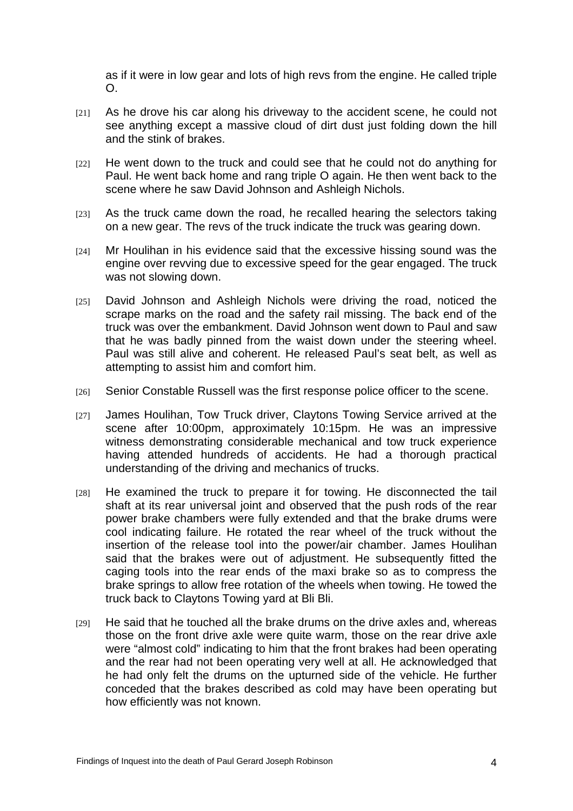as if it were in low gear and lots of high revs from the engine. He called triple O.

- $[21]$  As he drove his car along his driveway to the accident scene, he could not see anything except a massive cloud of dirt dust just folding down the hill and the stink of brakes.
- [22] He went down to the truck and could see that he could not do anything for Paul. He went back home and rang triple O again. He then went back to the scene where he saw David Johnson and Ashleigh Nichols.
- $[23]$  As the truck came down the road, he recalled hearing the selectors taking on a new gear. The revs of the truck indicate the truck was gearing down.
- [24] Mr Houlihan in his evidence said that the excessive hissing sound was the engine over revving due to excessive speed for the gear engaged. The truck was not slowing down.
- [25] David Johnson and Ashleigh Nichols were driving the road, noticed the scrape marks on the road and the safety rail missing. The back end of the truck was over the embankment. David Johnson went down to Paul and saw that he was badly pinned from the waist down under the steering wheel. Paul was still alive and coherent. He released Paul's seat belt, as well as attempting to assist him and comfort him.
- [26] Senior Constable Russell was the first response police officer to the scene.
- [27] James Houlihan, Tow Truck driver, Claytons Towing Service arrived at the scene after 10:00pm, approximately 10:15pm. He was an impressive witness demonstrating considerable mechanical and tow truck experience having attended hundreds of accidents. He had a thorough practical understanding of the driving and mechanics of trucks.
- [28] He examined the truck to prepare it for towing. He disconnected the tail shaft at its rear universal joint and observed that the push rods of the rear power brake chambers were fully extended and that the brake drums were cool indicating failure. He rotated the rear wheel of the truck without the insertion of the release tool into the power/air chamber. James Houlihan said that the brakes were out of adjustment. He subsequently fitted the caging tools into the rear ends of the maxi brake so as to compress the brake springs to allow free rotation of the wheels when towing. He towed the truck back to Claytons Towing yard at Bli Bli.
- $[29]$  He said that he touched all the brake drums on the drive axles and, whereas those on the front drive axle were quite warm, those on the rear drive axle were "almost cold" indicating to him that the front brakes had been operating and the rear had not been operating very well at all. He acknowledged that he had only felt the drums on the upturned side of the vehicle. He further conceded that the brakes described as cold may have been operating but how efficiently was not known.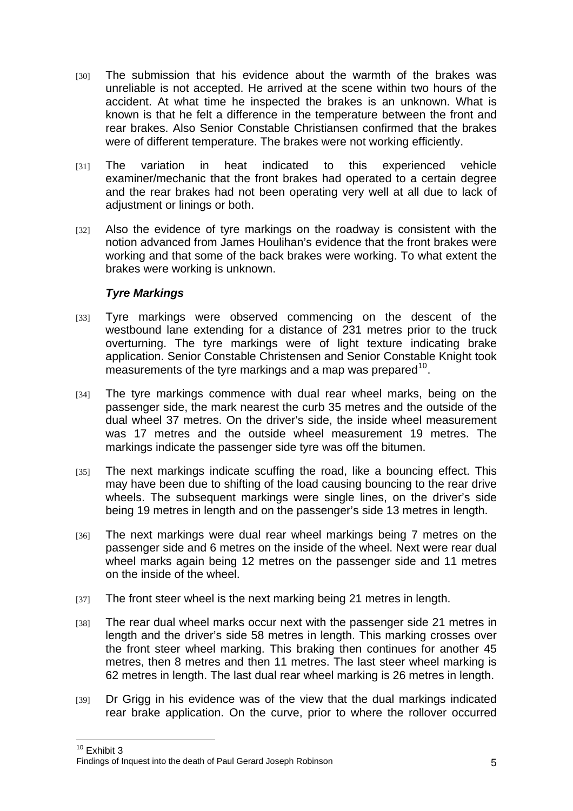- [30] The submission that his evidence about the warmth of the brakes was unreliable is not accepted. He arrived at the scene within two hours of the accident. At what time he inspected the brakes is an unknown. What is known is that he felt a difference in the temperature between the front and rear brakes. Also Senior Constable Christiansen confirmed that the brakes were of different temperature. The brakes were not working efficiently.
- [31] The variation in heat indicated to this experienced vehicle examiner/mechanic that the front brakes had operated to a certain degree and the rear brakes had not been operating very well at all due to lack of adjustment or linings or both.
- [32] Also the evidence of tyre markings on the roadway is consistent with the notion advanced from James Houlihan's evidence that the front brakes were working and that some of the back brakes were working. To what extent the brakes were working is unknown.

## *Tyre Markings*

- [33] Tyre markings were observed commencing on the descent of the westbound lane extending for a distance of 231 metres prior to the truck overturning. The tyre markings were of light texture indicating brake application. Senior Constable Christensen and Senior Constable Knight took measurements of the tyre markings and a map was prepared  $10$ .
- [34] The tyre markings commence with dual rear wheel marks, being on the passenger side, the mark nearest the curb 35 metres and the outside of the dual wheel 37 metres. On the driver's side, the inside wheel measurement was 17 metres and the outside wheel measurement 19 metres. The markings indicate the passenger side tyre was off the bitumen.
- [35] The next markings indicate scuffing the road, like a bouncing effect. This may have been due to shifting of the load causing bouncing to the rear drive wheels. The subsequent markings were single lines, on the driver's side being 19 metres in length and on the passenger's side 13 metres in length.
- [36] The next markings were dual rear wheel markings being 7 metres on the passenger side and 6 metres on the inside of the wheel. Next were rear dual wheel marks again being 12 metres on the passenger side and 11 metres on the inside of the wheel.
- [37] The front steer wheel is the next marking being 21 metres in length.
- [38] The rear dual wheel marks occur next with the passenger side 21 metres in length and the driver's side 58 metres in length. This marking crosses over the front steer wheel marking. This braking then continues for another 45 metres, then 8 metres and then 11 metres. The last steer wheel marking is 62 metres in length. The last dual rear wheel marking is 26 metres in length.
- [39] Dr Grigg in his evidence was of the view that the dual markings indicated rear brake application. On the curve, prior to where the rollover occurred

 $\overline{1}$  $10$  Exhibit 3

<span id="page-5-0"></span>Findings of Inquest into the death of Paul Gerard Joseph Robinson 5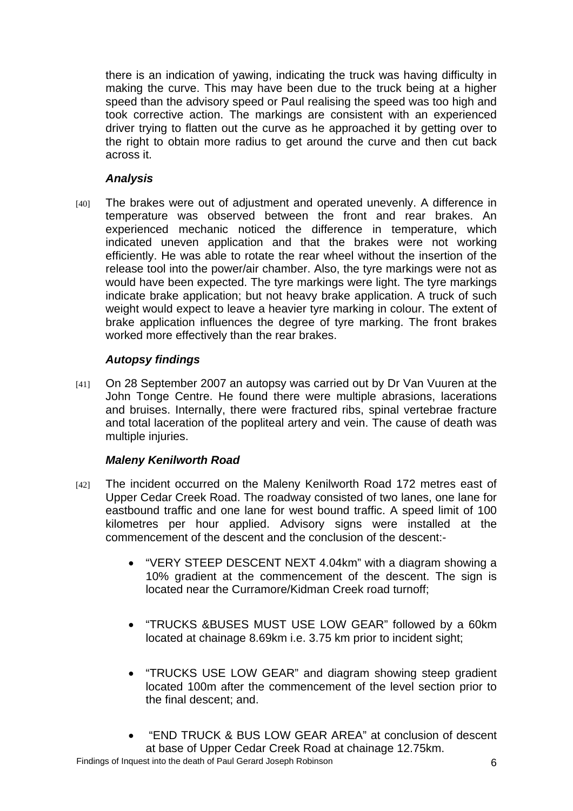there is an indication of yawing, indicating the truck was having difficulty in making the curve. This may have been due to the truck being at a higher speed than the advisory speed or Paul realising the speed was too high and took corrective action. The markings are consistent with an experienced driver trying to flatten out the curve as he approached it by getting over to the right to obtain more radius to get around the curve and then cut back across it.

## *Analysis*

[40] The brakes were out of adjustment and operated unevenly. A difference in temperature was observed between the front and rear brakes. An experienced mechanic noticed the difference in temperature, which indicated uneven application and that the brakes were not working efficiently. He was able to rotate the rear wheel without the insertion of the release tool into the power/air chamber. Also, the tyre markings were not as would have been expected. The tyre markings were light. The tyre markings indicate brake application; but not heavy brake application. A truck of such weight would expect to leave a heavier tyre marking in colour. The extent of brake application influences the degree of tyre marking. The front brakes worked more effectively than the rear brakes.

## *Autopsy findings*

[41] On 28 September 2007 an autopsy was carried out by Dr Van Vuuren at the John Tonge Centre. He found there were multiple abrasions, lacerations and bruises. Internally, there were fractured ribs, spinal vertebrae fracture and total laceration of the popliteal artery and vein. The cause of death was multiple injuries.

#### *Maleny Kenilworth Road*

- [42] The incident occurred on the Maleny Kenilworth Road 172 metres east of Upper Cedar Creek Road. The roadway consisted of two lanes, one lane for eastbound traffic and one lane for west bound traffic. A speed limit of 100 kilometres per hour applied. Advisory signs were installed at the commencement of the descent and the conclusion of the descent:-
	- "VERY STEEP DESCENT NEXT 4.04km" with a diagram showing a 10% gradient at the commencement of the descent. The sign is located near the Curramore/Kidman Creek road turnoff;
	- "TRUCKS &BUSES MUST USE LOW GEAR" followed by a 60km located at chainage 8.69km i.e. 3.75 km prior to incident sight;
	- "TRUCKS USE LOW GEAR" and diagram showing steep gradient located 100m after the commencement of the level section prior to the final descent; and.
	- "END TRUCK & BUS LOW GEAR AREA" at conclusion of descent at base of Upper Cedar Creek Road at chainage 12.75km.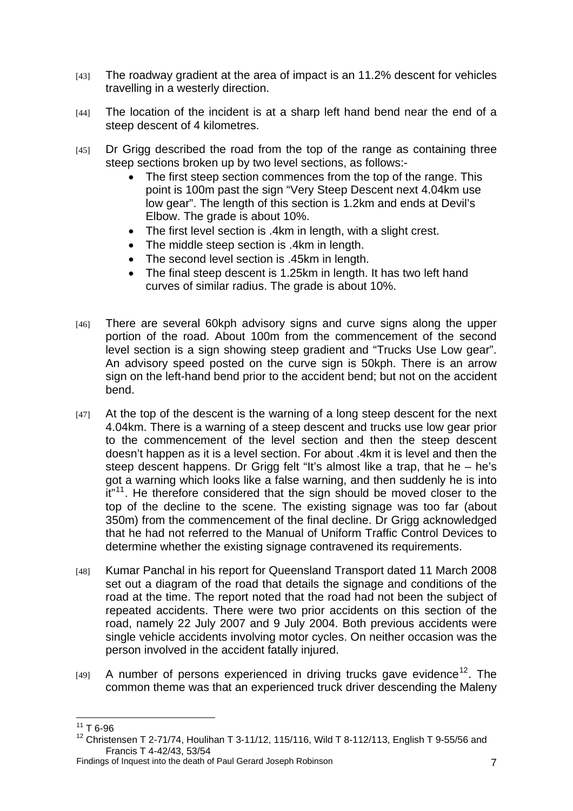- [43] The roadway gradient at the area of impact is an 11.2% descent for vehicles travelling in a westerly direction.
- [44] The location of the incident is at a sharp left hand bend near the end of a steep descent of 4 kilometres.
- [45] Dr Grigg described the road from the top of the range as containing three steep sections broken up by two level sections, as follows:-
	- The first steep section commences from the top of the range. This point is 100m past the sign "Very Steep Descent next 4.04km use low gear". The length of this section is 1.2km and ends at Devil's Elbow. The grade is about 10%.
	- The first level section is .4km in length, with a slight crest.
	- The middle steep section is .4km in length.
	- The second level section is .45km in length.
	- The final steep descent is 1.25km in length. It has two left hand curves of similar radius. The grade is about 10%.
- [46] There are several 60kph advisory signs and curve signs along the upper portion of the road. About 100m from the commencement of the second level section is a sign showing steep gradient and "Trucks Use Low gear". An advisory speed posted on the curve sign is 50kph. There is an arrow sign on the left-hand bend prior to the accident bend; but not on the accident bend.
- [47] At the top of the descent is the warning of a long steep descent for the next 4.04km. There is a warning of a steep descent and trucks use low gear prior to the commencement of the level section and then the steep descent doesn't happen as it is a level section. For about .4km it is level and then the steep descent happens. Dr Grigg felt "It's almost like a trap, that he – he's got a warning which looks like a false warning, and then suddenly he is into it<sup>"[11](#page-7-0)</sup>. He therefore considered that the sign should be moved closer to the top of the decline to the scene. The existing signage was too far (about 350m) from the commencement of the final decline. Dr Grigg acknowledged that he had not referred to the Manual of Uniform Traffic Control Devices to determine whether the existing signage contravened its requirements.
- [48] Kumar Panchal in his report for Queensland Transport dated 11 March 2008 set out a diagram of the road that details the signage and conditions of the road at the time. The report noted that the road had not been the subject of repeated accidents. There were two prior accidents on this section of the road, namely 22 July 2007 and 9 July 2004. Both previous accidents were single vehicle accidents involving motor cycles. On neither occasion was the person involved in the accident fatally injured.
- $[49]$  A number of persons experienced in driving trucks gave evidence<sup>[12](#page-7-1)</sup>. The common theme was that an experienced truck driver descending the Maleny

<span id="page-7-0"></span> $\overline{a}$  $11$  T 6-96

<span id="page-7-1"></span> $12$  Christensen T 2-71/74, Houlihan T 3-11/12, 115/116, Wild T 8-112/113, English T 9-55/56 and Francis T 4-42/43, 53/54

Findings of Inquest into the death of Paul Gerard Joseph Robinson 7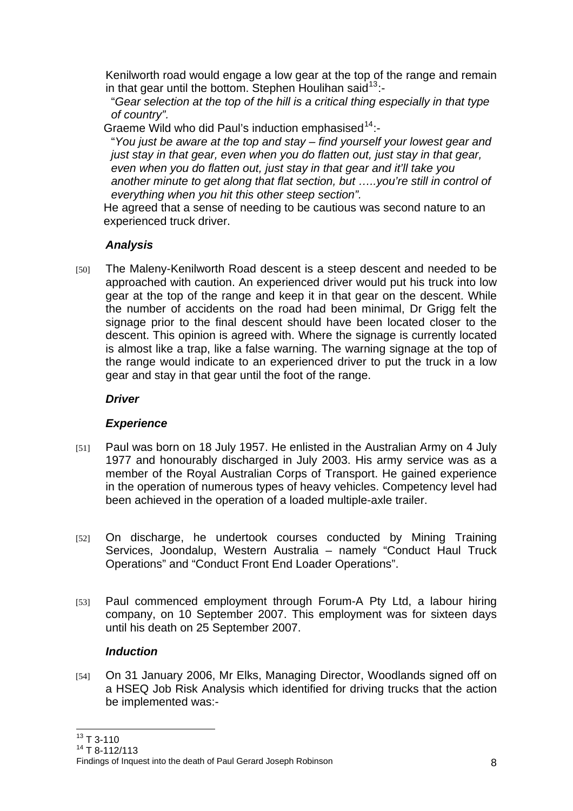Kenilworth road would engage a low gear at the top of the range and remain in that gear until the bottom. Stephen Houlihan said<sup>[13](#page-8-0)</sup>:-

"*Gear selection at the top of the hill is a critical thing especially in that type of country".* 

Graeme Wild who did Paul's induction emphasised  $14$ :-

"*You just be aware at the top and stay – find yourself your lowest gear and just stay in that gear, even when you do flatten out, just stay in that gear, even when you do flatten out, just stay in that gear and it'll take you another minute to get along that flat section, but …..you're still in control of everything when you hit this other steep section".* 

He agreed that a sense of needing to be cautious was second nature to an experienced truck driver.

## *Analysis*

[50] The Maleny-Kenilworth Road descent is a steep descent and needed to be approached with caution. An experienced driver would put his truck into low gear at the top of the range and keep it in that gear on the descent. While the number of accidents on the road had been minimal, Dr Grigg felt the signage prior to the final descent should have been located closer to the descent. This opinion is agreed with. Where the signage is currently located is almost like a trap, like a false warning. The warning signage at the top of the range would indicate to an experienced driver to put the truck in a low gear and stay in that gear until the foot of the range.

# *Driver*

## *Experience*

- [51] Paul was born on 18 July 1957. He enlisted in the Australian Army on 4 July 1977 and honourably discharged in July 2003. His army service was as a member of the Royal Australian Corps of Transport. He gained experience in the operation of numerous types of heavy vehicles. Competency level had been achieved in the operation of a loaded multiple-axle trailer.
- [52] On discharge, he undertook courses conducted by Mining Training Services, Joondalup, Western Australia – namely "Conduct Haul Truck Operations" and "Conduct Front End Loader Operations".
- [53] Paul commenced employment through Forum-A Pty Ltd, a labour hiring company, on 10 September 2007. This employment was for sixteen days until his death on 25 September 2007.

# *Induction*

[54] On 31 January 2006, Mr Elks, Managing Director, Woodlands signed off on a HSEQ Job Risk Analysis which identified for driving trucks that the action be implemented was:-

 $\overline{a}$  $13$  T 3-110

<span id="page-8-1"></span><span id="page-8-0"></span> $14$  T 8-112/113

Findings of Inquest into the death of Paul Gerard Joseph Robinson 8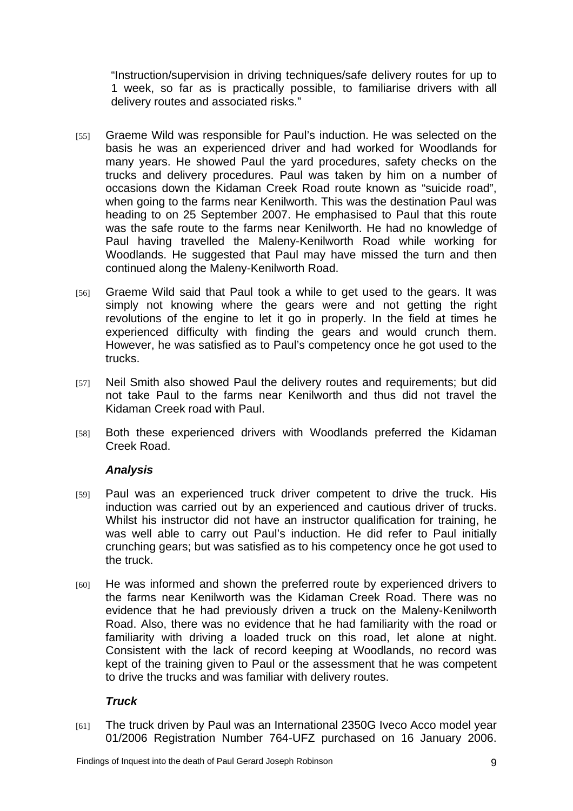"Instruction/supervision in driving techniques/safe delivery routes for up to 1 week, so far as is practically possible, to familiarise drivers with all delivery routes and associated risks."

- [55] Graeme Wild was responsible for Paul's induction. He was selected on the basis he was an experienced driver and had worked for Woodlands for many years. He showed Paul the yard procedures, safety checks on the trucks and delivery procedures. Paul was taken by him on a number of occasions down the Kidaman Creek Road route known as "suicide road", when going to the farms near Kenilworth. This was the destination Paul was heading to on 25 September 2007. He emphasised to Paul that this route was the safe route to the farms near Kenilworth. He had no knowledge of Paul having travelled the Maleny-Kenilworth Road while working for Woodlands. He suggested that Paul may have missed the turn and then continued along the Maleny-Kenilworth Road.
- [56] Graeme Wild said that Paul took a while to get used to the gears. It was simply not knowing where the gears were and not getting the right revolutions of the engine to let it go in properly. In the field at times he experienced difficulty with finding the gears and would crunch them. However, he was satisfied as to Paul's competency once he got used to the trucks.
- [57] Neil Smith also showed Paul the delivery routes and requirements; but did not take Paul to the farms near Kenilworth and thus did not travel the Kidaman Creek road with Paul.
- [58] Both these experienced drivers with Woodlands preferred the Kidaman Creek Road.

## *Analysis*

- [59] Paul was an experienced truck driver competent to drive the truck. His induction was carried out by an experienced and cautious driver of trucks. Whilst his instructor did not have an instructor qualification for training, he was well able to carry out Paul's induction. He did refer to Paul initially crunching gears; but was satisfied as to his competency once he got used to the truck.
- [60] He was informed and shown the preferred route by experienced drivers to the farms near Kenilworth was the Kidaman Creek Road. There was no evidence that he had previously driven a truck on the Maleny-Kenilworth Road. Also, there was no evidence that he had familiarity with the road or familiarity with driving a loaded truck on this road, let alone at night. Consistent with the lack of record keeping at Woodlands, no record was kept of the training given to Paul or the assessment that he was competent to drive the trucks and was familiar with delivery routes.

## *Truck*

[61] The truck driven by Paul was an International 2350G Iveco Acco model year 01/2006 Registration Number 764-UFZ purchased on 16 January 2006.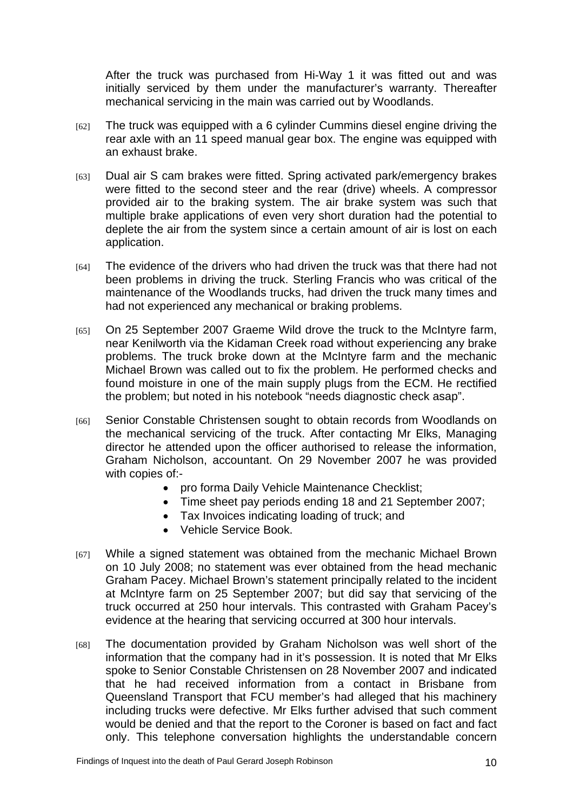After the truck was purchased from Hi-Way 1 it was fitted out and was initially serviced by them under the manufacturer's warranty. Thereafter mechanical servicing in the main was carried out by Woodlands.

- $[62]$  The truck was equipped with a 6 cylinder Cummins diesel engine driving the rear axle with an 11 speed manual gear box. The engine was equipped with an exhaust brake.
- [63] Dual air S cam brakes were fitted. Spring activated park/emergency brakes were fitted to the second steer and the rear (drive) wheels. A compressor provided air to the braking system. The air brake system was such that multiple brake applications of even very short duration had the potential to deplete the air from the system since a certain amount of air is lost on each application.
- [64] The evidence of the drivers who had driven the truck was that there had not been problems in driving the truck. Sterling Francis who was critical of the maintenance of the Woodlands trucks, had driven the truck many times and had not experienced any mechanical or braking problems.
- [65] On 25 September 2007 Graeme Wild drove the truck to the McIntyre farm, near Kenilworth via the Kidaman Creek road without experiencing any brake problems. The truck broke down at the McIntyre farm and the mechanic Michael Brown was called out to fix the problem. He performed checks and found moisture in one of the main supply plugs from the ECM. He rectified the problem; but noted in his notebook "needs diagnostic check asap".
- [66] Senior Constable Christensen sought to obtain records from Woodlands on the mechanical servicing of the truck. After contacting Mr Elks, Managing director he attended upon the officer authorised to release the information, Graham Nicholson, accountant. On 29 November 2007 he was provided with copies of:-
	- pro forma Daily Vehicle Maintenance Checklist;
	- Time sheet pay periods ending 18 and 21 September 2007;
	- Tax Invoices indicating loading of truck; and
	- Vehicle Service Book.
- [67] While a signed statement was obtained from the mechanic Michael Brown on 10 July 2008; no statement was ever obtained from the head mechanic Graham Pacey. Michael Brown's statement principally related to the incident at McIntyre farm on 25 September 2007; but did say that servicing of the truck occurred at 250 hour intervals. This contrasted with Graham Pacey's evidence at the hearing that servicing occurred at 300 hour intervals.
- [68] The documentation provided by Graham Nicholson was well short of the information that the company had in it's possession. It is noted that Mr Elks spoke to Senior Constable Christensen on 28 November 2007 and indicated that he had received information from a contact in Brisbane from Queensland Transport that FCU member's had alleged that his machinery including trucks were defective. Mr Elks further advised that such comment would be denied and that the report to the Coroner is based on fact and fact only. This telephone conversation highlights the understandable concern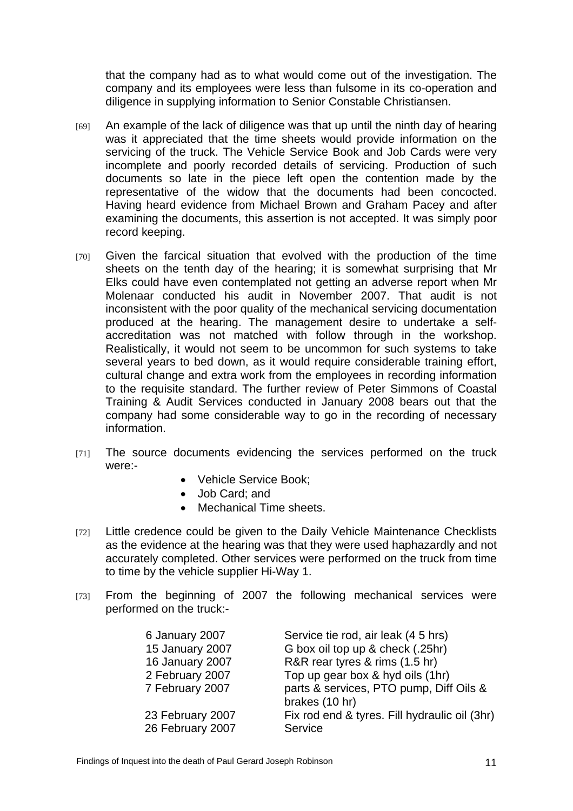that the company had as to what would come out of the investigation. The company and its employees were less than fulsome in its co-operation and diligence in supplying information to Senior Constable Christiansen.

- [69] An example of the lack of diligence was that up until the ninth day of hearing was it appreciated that the time sheets would provide information on the servicing of the truck. The Vehicle Service Book and Job Cards were very incomplete and poorly recorded details of servicing. Production of such documents so late in the piece left open the contention made by the representative of the widow that the documents had been concocted. Having heard evidence from Michael Brown and Graham Pacey and after examining the documents, this assertion is not accepted. It was simply poor record keeping.
- [70] Given the farcical situation that evolved with the production of the time sheets on the tenth day of the hearing; it is somewhat surprising that Mr Elks could have even contemplated not getting an adverse report when Mr Molenaar conducted his audit in November 2007. That audit is not inconsistent with the poor quality of the mechanical servicing documentation produced at the hearing. The management desire to undertake a selfaccreditation was not matched with follow through in the workshop. Realistically, it would not seem to be uncommon for such systems to take several years to bed down, as it would require considerable training effort, cultural change and extra work from the employees in recording information to the requisite standard. The further review of Peter Simmons of Coastal Training & Audit Services conducted in January 2008 bears out that the company had some considerable way to go in the recording of necessary information.
- [71] The source documents evidencing the services performed on the truck were:-
	- Vehicle Service Book;
	- Job Card; and
	- Mechanical Time sheets.
- [72] Little credence could be given to the Daily Vehicle Maintenance Checklists as the evidence at the hearing was that they were used haphazardly and not accurately completed. Other services were performed on the truck from time to time by the vehicle supplier Hi-Way 1.
- [73] From the beginning of 2007 the following mechanical services were performed on the truck:-

| 6 January 2007                     | Service tie rod, air leak (4.5 hrs)                                                           |
|------------------------------------|-----------------------------------------------------------------------------------------------|
| 15 January 2007                    | G box oil top up & check (.25hr)                                                              |
| 16 January 2007                    | R&R rear tyres & rims (1.5 hr)                                                                |
| 2 February 2007<br>7 February 2007 | Top up gear box & hyd oils (1hr)<br>parts & services, PTO pump, Diff Oils &<br>brakes (10 hr) |
| 23 February 2007                   | Fix rod end & tyres. Fill hydraulic oil (3hr)                                                 |
| 26 February 2007                   | Service                                                                                       |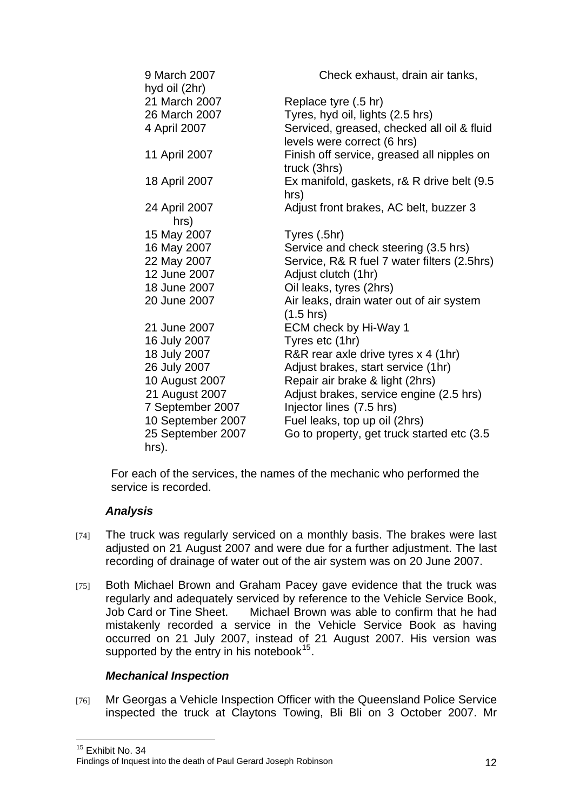| 9 March 2007<br>hyd oil (2hr) | Check exhaust, drain air tanks,                            |
|-------------------------------|------------------------------------------------------------|
| 21 March 2007                 | Replace tyre (.5 hr)                                       |
| 26 March 2007                 | Tyres, hyd oil, lights (2.5 hrs)                           |
| 4 April 2007                  | Serviced, greased, checked all oil & fluid                 |
|                               | levels were correct (6 hrs)                                |
| 11 April 2007                 | Finish off service, greased all nipples on<br>truck (3hrs) |
| 18 April 2007                 | Ex manifold, gaskets, r& R drive belt (9.5)                |
|                               | hrs)                                                       |
| 24 April 2007                 | Adjust front brakes, AC belt, buzzer 3                     |
| hrs)                          |                                                            |
| 15 May 2007                   | Tyres (.5hr)                                               |
| 16 May 2007                   | Service and check steering (3.5 hrs)                       |
| 22 May 2007                   | Service, R& R fuel 7 water filters (2.5hrs)                |
| 12 June 2007                  | Adjust clutch (1hr)                                        |
| 18 June 2007                  | Oil leaks, tyres (2hrs)                                    |
| 20 June 2007                  | Air leaks, drain water out of air system                   |
|                               | $(1.5 \text{ hrs})$                                        |
| 21 June 2007                  | ECM check by Hi-Way 1                                      |
| 16 July 2007                  | Tyres etc (1hr)                                            |
| 18 July 2007                  | R&R rear axle drive tyres x 4 (1hr)                        |
| 26 July 2007                  | Adjust brakes, start service (1hr)                         |
| 10 August 2007                | Repair air brake & light (2hrs)                            |
| 21 August 2007                | Adjust brakes, service engine (2.5 hrs)                    |
| 7 September 2007              | Injector lines (7.5 hrs)                                   |
| 10 September 2007             | Fuel leaks, top up oil (2hrs)                              |
| 25 September 2007             | Go to property, get truck started etc (3.5)                |
| hrs).                         |                                                            |

For each of the services, the names of the mechanic who performed the service is recorded.

## *Analysis*

<span id="page-12-0"></span> $\overline{1}$ 

- [74] The truck was regularly serviced on a monthly basis. The brakes were last adjusted on 21 August 2007 and were due for a further adjustment. The last recording of drainage of water out of the air system was on 20 June 2007.
- [75] Both Michael Brown and Graham Pacey gave evidence that the truck was regularly and adequately serviced by reference to the Vehicle Service Book, Job Card or Tine Sheet. Michael Brown was able to confirm that he had mistakenly recorded a service in the Vehicle Service Book as having occurred on 21 July 2007, instead of 21 August 2007. His version was supported by the entry in his notebook $15$ .

#### *Mechanical Inspection*

[76] Mr Georgas a Vehicle Inspection Officer with the Queensland Police Service inspected the truck at Claytons Towing, Bli Bli on 3 October 2007. Mr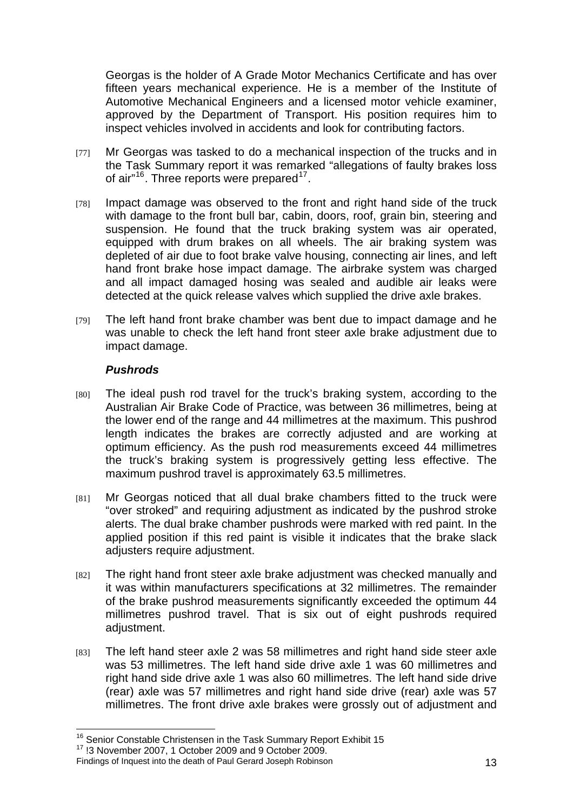Georgas is the holder of A Grade Motor Mechanics Certificate and has over fifteen years mechanical experience. He is a member of the Institute of Automotive Mechanical Engineers and a licensed motor vehicle examiner, approved by the Department of Transport. His position requires him to inspect vehicles involved in accidents and look for contributing factors.

- [77] Mr Georgas was tasked to do a mechanical inspection of the trucks and in the Task Summary report it was remarked "allegations of faulty brakes loss of air"<sup>[16](#page-13-0)</sup>. Three reports were prepared<sup>[17](#page-13-1)</sup>.
- [78] Impact damage was observed to the front and right hand side of the truck with damage to the front bull bar, cabin, doors, roof, grain bin, steering and suspension. He found that the truck braking system was air operated, equipped with drum brakes on all wheels. The air braking system was depleted of air due to foot brake valve housing, connecting air lines, and left hand front brake hose impact damage. The airbrake system was charged and all impact damaged hosing was sealed and audible air leaks were detected at the quick release valves which supplied the drive axle brakes.
- [79] The left hand front brake chamber was bent due to impact damage and he was unable to check the left hand front steer axle brake adjustment due to impact damage.

#### *Pushrods*

- [80] The ideal push rod travel for the truck's braking system, according to the Australian Air Brake Code of Practice, was between 36 millimetres, being at the lower end of the range and 44 millimetres at the maximum. This pushrod length indicates the brakes are correctly adjusted and are working at optimum efficiency. As the push rod measurements exceed 44 millimetres the truck's braking system is progressively getting less effective. The maximum pushrod travel is approximately 63.5 millimetres.
- [81] Mr Georgas noticed that all dual brake chambers fitted to the truck were "over stroked" and requiring adjustment as indicated by the pushrod stroke alerts. The dual brake chamber pushrods were marked with red paint. In the applied position if this red paint is visible it indicates that the brake slack adjusters require adjustment.
- [82] The right hand front steer axle brake adjustment was checked manually and it was within manufacturers specifications at 32 millimetres. The remainder of the brake pushrod measurements significantly exceeded the optimum 44 millimetres pushrod travel. That is six out of eight pushrods required adjustment.
- [83] The left hand steer axle 2 was 58 millimetres and right hand side steer axle was 53 millimetres. The left hand side drive axle 1 was 60 millimetres and right hand side drive axle 1 was also 60 millimetres. The left hand side drive (rear) axle was 57 millimetres and right hand side drive (rear) axle was 57 millimetres. The front drive axle brakes were grossly out of adjustment and

 $\overline{a}$ 

<span id="page-13-0"></span><sup>&</sup>lt;sup>16</sup> Senior Constable Christensen in the Task Summary Report Exhibit 15  $17$  !3 November 2007, 1 October 2009 and 9 October 2009.

<span id="page-13-1"></span>Findings of Inquest into the death of Paul Gerard Joseph Robinson 13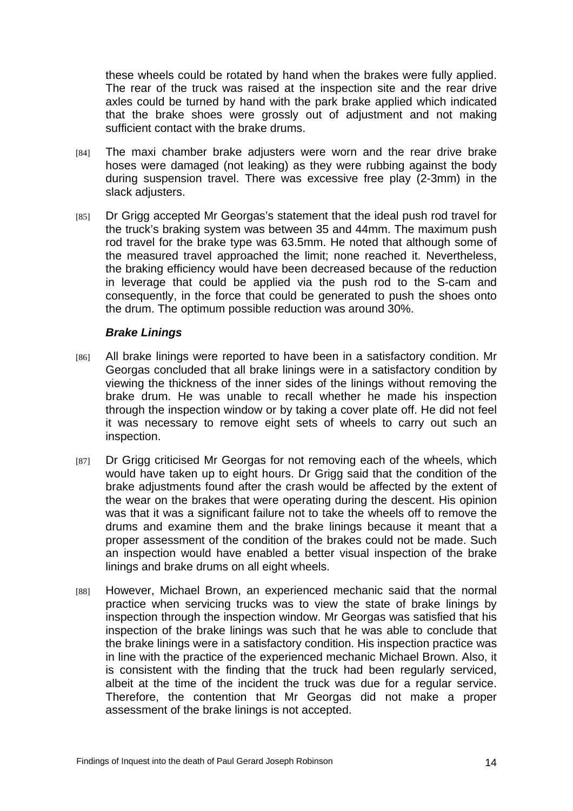these wheels could be rotated by hand when the brakes were fully applied. The rear of the truck was raised at the inspection site and the rear drive axles could be turned by hand with the park brake applied which indicated that the brake shoes were grossly out of adjustment and not making sufficient contact with the brake drums.

- [84] The maxi chamber brake adjusters were worn and the rear drive brake hoses were damaged (not leaking) as they were rubbing against the body during suspension travel. There was excessive free play (2-3mm) in the slack adjusters.
- [85] Dr Grigg accepted Mr Georgas's statement that the ideal push rod travel for the truck's braking system was between 35 and 44mm. The maximum push rod travel for the brake type was 63.5mm. He noted that although some of the measured travel approached the limit; none reached it. Nevertheless, the braking efficiency would have been decreased because of the reduction in leverage that could be applied via the push rod to the S-cam and consequently, in the force that could be generated to push the shoes onto the drum. The optimum possible reduction was around 30%.

#### *Brake Linings*

- [86] All brake linings were reported to have been in a satisfactory condition. Mr Georgas concluded that all brake linings were in a satisfactory condition by viewing the thickness of the inner sides of the linings without removing the brake drum. He was unable to recall whether he made his inspection through the inspection window or by taking a cover plate off. He did not feel it was necessary to remove eight sets of wheels to carry out such an inspection.
- [87] Dr Grigg criticised Mr Georgas for not removing each of the wheels, which would have taken up to eight hours. Dr Grigg said that the condition of the brake adjustments found after the crash would be affected by the extent of the wear on the brakes that were operating during the descent. His opinion was that it was a significant failure not to take the wheels off to remove the drums and examine them and the brake linings because it meant that a proper assessment of the condition of the brakes could not be made. Such an inspection would have enabled a better visual inspection of the brake linings and brake drums on all eight wheels.
- [88] However, Michael Brown, an experienced mechanic said that the normal practice when servicing trucks was to view the state of brake linings by inspection through the inspection window. Mr Georgas was satisfied that his inspection of the brake linings was such that he was able to conclude that the brake linings were in a satisfactory condition. His inspection practice was in line with the practice of the experienced mechanic Michael Brown. Also, it is consistent with the finding that the truck had been regularly serviced, albeit at the time of the incident the truck was due for a regular service. Therefore, the contention that Mr Georgas did not make a proper assessment of the brake linings is not accepted.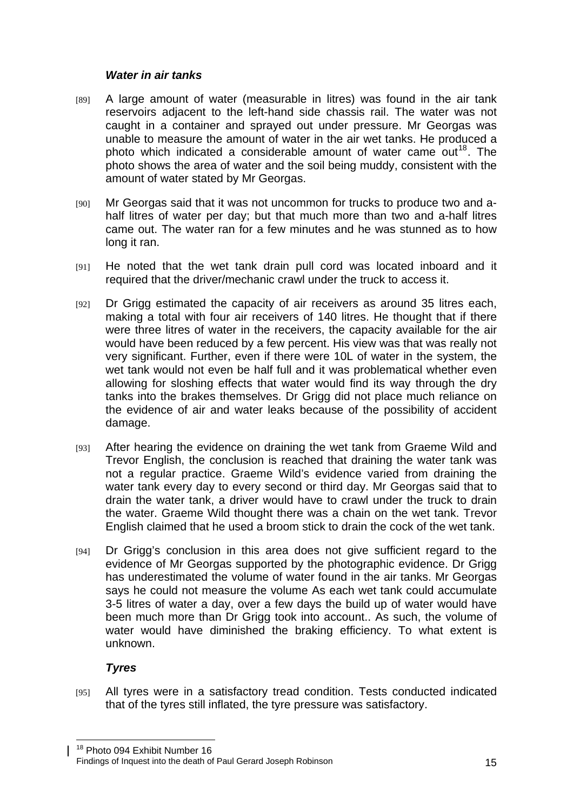#### *Water in air tanks*

- [89] A large amount of water (measurable in litres) was found in the air tank reservoirs adjacent to the left-hand side chassis rail. The water was not caught in a container and sprayed out under pressure. Mr Georgas was unable to measure the amount of water in the air wet tanks. He produced a photo which indicated a considerable amount of water came out<sup>[18](#page-15-0)</sup>. The photo shows the area of water and the soil being muddy, consistent with the amount of water stated by Mr Georgas.
- [90] Mr Georgas said that it was not uncommon for trucks to produce two and ahalf litres of water per day; but that much more than two and a-half litres came out. The water ran for a few minutes and he was stunned as to how long it ran.
- [91] He noted that the wet tank drain pull cord was located inboard and it required that the driver/mechanic crawl under the truck to access it.
- [92] Dr Grigg estimated the capacity of air receivers as around 35 litres each, making a total with four air receivers of 140 litres. He thought that if there were three litres of water in the receivers, the capacity available for the air would have been reduced by a few percent. His view was that was really not very significant. Further, even if there were 10L of water in the system, the wet tank would not even be half full and it was problematical whether even allowing for sloshing effects that water would find its way through the dry tanks into the brakes themselves. Dr Grigg did not place much reliance on the evidence of air and water leaks because of the possibility of accident damage.
- [93] After hearing the evidence on draining the wet tank from Graeme Wild and Trevor English, the conclusion is reached that draining the water tank was not a regular practice. Graeme Wild's evidence varied from draining the water tank every day to every second or third day. Mr Georgas said that to drain the water tank, a driver would have to crawl under the truck to drain the water. Graeme Wild thought there was a chain on the wet tank. Trevor English claimed that he used a broom stick to drain the cock of the wet tank.
- [94] Dr Grigg's conclusion in this area does not give sufficient regard to the evidence of Mr Georgas supported by the photographic evidence. Dr Grigg has underestimated the volume of water found in the air tanks. Mr Georgas says he could not measure the volume As each wet tank could accumulate 3-5 litres of water a day, over a few days the build up of water would have been much more than Dr Grigg took into account.. As such, the volume of water would have diminished the braking efficiency. To what extent is unknown.

## *Tyres*

 $\overline{1}$ 

[95] All tyres were in a satisfactory tread condition. Tests conducted indicated that of the tyres still inflated, the tyre pressure was satisfactory.

<span id="page-15-0"></span>Findings of Inquest into the death of Paul Gerard Joseph Robinson 15 <sup>18</sup> Photo 094 Exhibit Number 16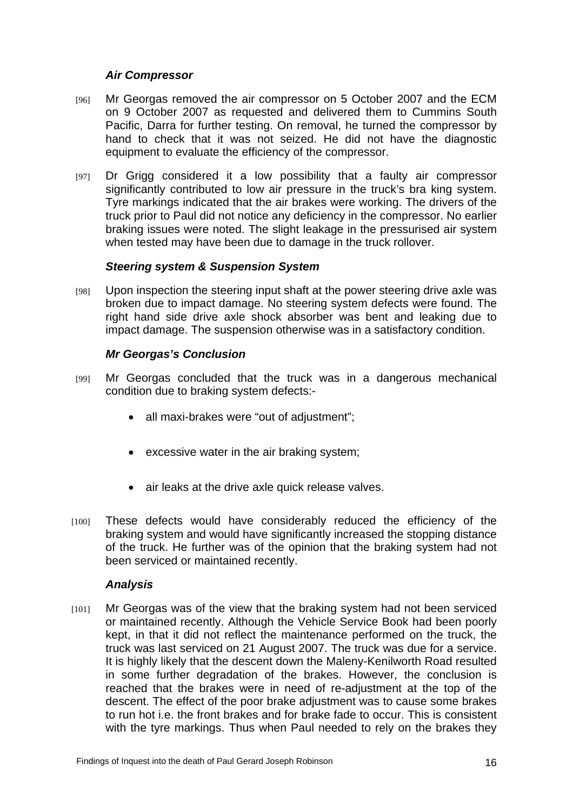#### *Air Compressor*

- [96] Mr Georgas removed the air compressor on 5 October 2007 and the ECM on 9 October 2007 as requested and delivered them to Cummins South Pacific, Darra for further testing. On removal, he turned the compressor by hand to check that it was not seized. He did not have the diagnostic equipment to evaluate the efficiency of the compressor.
- [97] Dr Grigg considered it a low possibility that a faulty air compressor significantly contributed to low air pressure in the truck's bra king system. Tyre markings indicated that the air brakes were working. The drivers of the truck prior to Paul did not notice any deficiency in the compressor. No earlier braking issues were noted. The slight leakage in the pressurised air system when tested may have been due to damage in the truck rollover.

## *Steering system & Suspension System*

[98] Upon inspection the steering input shaft at the power steering drive axle was broken due to impact damage. No steering system defects were found. The right hand side drive axle shock absorber was bent and leaking due to impact damage. The suspension otherwise was in a satisfactory condition.

## *Mr Georgas's Conclusion*

- [99] Mr Georgas concluded that the truck was in a dangerous mechanical condition due to braking system defects:-
	- all maxi-brakes were "out of adjustment";
	- excessive water in the air braking system;
	- air leaks at the drive axle quick release valves.
- [100] These defects would have considerably reduced the efficiency of the braking system and would have significantly increased the stopping distance of the truck. He further was of the opinion that the braking system had not been serviced or maintained recently.

#### *Analysis*

[101] Mr Georgas was of the view that the braking system had not been serviced or maintained recently. Although the Vehicle Service Book had been poorly kept, in that it did not reflect the maintenance performed on the truck, the truck was last serviced on 21 August 2007. The truck was due for a service. It is highly likely that the descent down the Maleny-Kenilworth Road resulted in some further degradation of the brakes. However, the conclusion is reached that the brakes were in need of re-adjustment at the top of the descent. The effect of the poor brake adjustment was to cause some brakes to run hot i.e. the front brakes and for brake fade to occur. This is consistent with the tyre markings. Thus when Paul needed to rely on the brakes they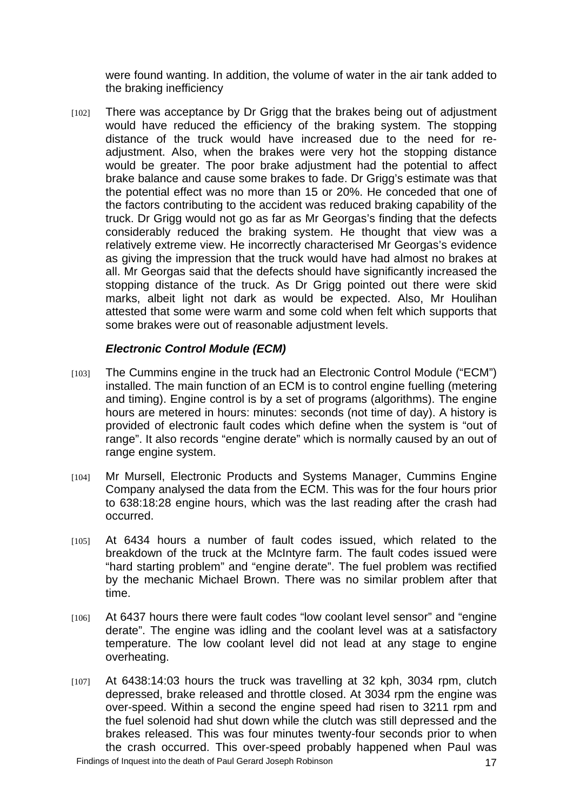were found wanting. In addition, the volume of water in the air tank added to the braking inefficiency

[102] There was acceptance by Dr Grigg that the brakes being out of adjustment would have reduced the efficiency of the braking system. The stopping distance of the truck would have increased due to the need for readjustment. Also, when the brakes were very hot the stopping distance would be greater. The poor brake adjustment had the potential to affect brake balance and cause some brakes to fade. Dr Grigg's estimate was that the potential effect was no more than 15 or 20%. He conceded that one of the factors contributing to the accident was reduced braking capability of the truck. Dr Grigg would not go as far as Mr Georgas's finding that the defects considerably reduced the braking system. He thought that view was a relatively extreme view. He incorrectly characterised Mr Georgas's evidence as giving the impression that the truck would have had almost no brakes at all. Mr Georgas said that the defects should have significantly increased the stopping distance of the truck. As Dr Grigg pointed out there were skid marks, albeit light not dark as would be expected. Also, Mr Houlihan attested that some were warm and some cold when felt which supports that some brakes were out of reasonable adjustment levels.

## *Electronic Control Module (ECM)*

- [103] The Cummins engine in the truck had an Electronic Control Module ("ECM") installed. The main function of an ECM is to control engine fuelling (metering and timing). Engine control is by a set of programs (algorithms). The engine hours are metered in hours: minutes: seconds (not time of day). A history is provided of electronic fault codes which define when the system is "out of range". It also records "engine derate" which is normally caused by an out of range engine system.
- [104] Mr Mursell, Electronic Products and Systems Manager, Cummins Engine Company analysed the data from the ECM. This was for the four hours prior to 638:18:28 engine hours, which was the last reading after the crash had occurred.
- [105] At 6434 hours a number of fault codes issued, which related to the breakdown of the truck at the McIntyre farm. The fault codes issued were "hard starting problem" and "engine derate". The fuel problem was rectified by the mechanic Michael Brown. There was no similar problem after that time.
- [106] At 6437 hours there were fault codes "low coolant level sensor" and "engine derate". The engine was idling and the coolant level was at a satisfactory temperature. The low coolant level did not lead at any stage to engine overheating.
- [107] At 6438:14:03 hours the truck was travelling at 32 kph, 3034 rpm, clutch depressed, brake released and throttle closed. At 3034 rpm the engine was over-speed. Within a second the engine speed had risen to 3211 rpm and the fuel solenoid had shut down while the clutch was still depressed and the brakes released. This was four minutes twenty-four seconds prior to when the crash occurred. This over-speed probably happened when Paul was Findings of Inquest into the death of Paul Gerard Joseph Robinson 17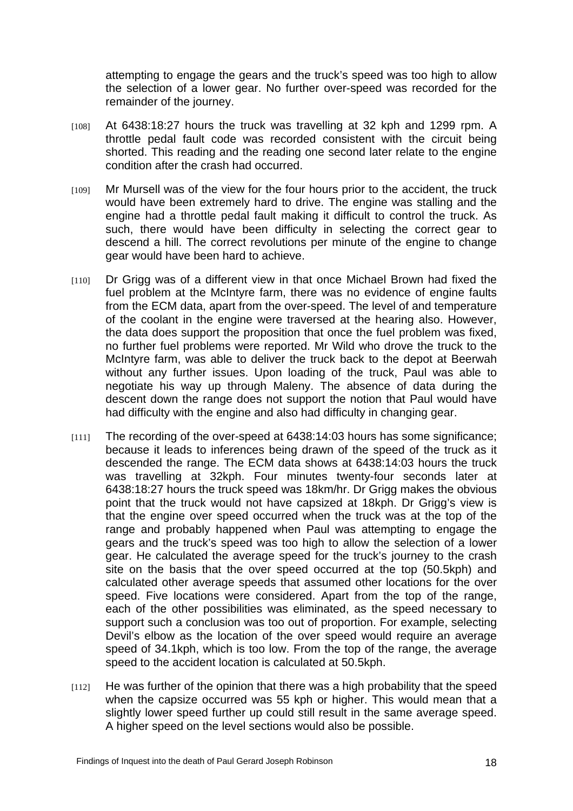attempting to engage the gears and the truck's speed was too high to allow the selection of a lower gear. No further over-speed was recorded for the remainder of the journey.

- [108] At 6438:18:27 hours the truck was travelling at 32 kph and 1299 rpm. A throttle pedal fault code was recorded consistent with the circuit being shorted. This reading and the reading one second later relate to the engine condition after the crash had occurred.
- [109] Mr Mursell was of the view for the four hours prior to the accident, the truck would have been extremely hard to drive. The engine was stalling and the engine had a throttle pedal fault making it difficult to control the truck. As such, there would have been difficulty in selecting the correct gear to descend a hill. The correct revolutions per minute of the engine to change gear would have been hard to achieve.
- [110] Dr Grigg was of a different view in that once Michael Brown had fixed the fuel problem at the McIntyre farm, there was no evidence of engine faults from the ECM data, apart from the over-speed. The level of and temperature of the coolant in the engine were traversed at the hearing also. However, the data does support the proposition that once the fuel problem was fixed, no further fuel problems were reported. Mr Wild who drove the truck to the McIntyre farm, was able to deliver the truck back to the depot at Beerwah without any further issues. Upon loading of the truck, Paul was able to negotiate his way up through Maleny. The absence of data during the descent down the range does not support the notion that Paul would have had difficulty with the engine and also had difficulty in changing gear.
- [111] The recording of the over-speed at 6438:14:03 hours has some significance; because it leads to inferences being drawn of the speed of the truck as it descended the range. The ECM data shows at 6438:14:03 hours the truck was travelling at 32kph. Four minutes twenty-four seconds later at 6438:18:27 hours the truck speed was 18km/hr. Dr Grigg makes the obvious point that the truck would not have capsized at 18kph. Dr Grigg's view is that the engine over speed occurred when the truck was at the top of the range and probably happened when Paul was attempting to engage the gears and the truck's speed was too high to allow the selection of a lower gear. He calculated the average speed for the truck's journey to the crash site on the basis that the over speed occurred at the top (50.5kph) and calculated other average speeds that assumed other locations for the over speed. Five locations were considered. Apart from the top of the range, each of the other possibilities was eliminated, as the speed necessary to support such a conclusion was too out of proportion. For example, selecting Devil's elbow as the location of the over speed would require an average speed of 34.1kph, which is too low. From the top of the range, the average speed to the accident location is calculated at 50.5kph.
- $[112]$  He was further of the opinion that there was a high probability that the speed when the capsize occurred was 55 kph or higher. This would mean that a slightly lower speed further up could still result in the same average speed. A higher speed on the level sections would also be possible.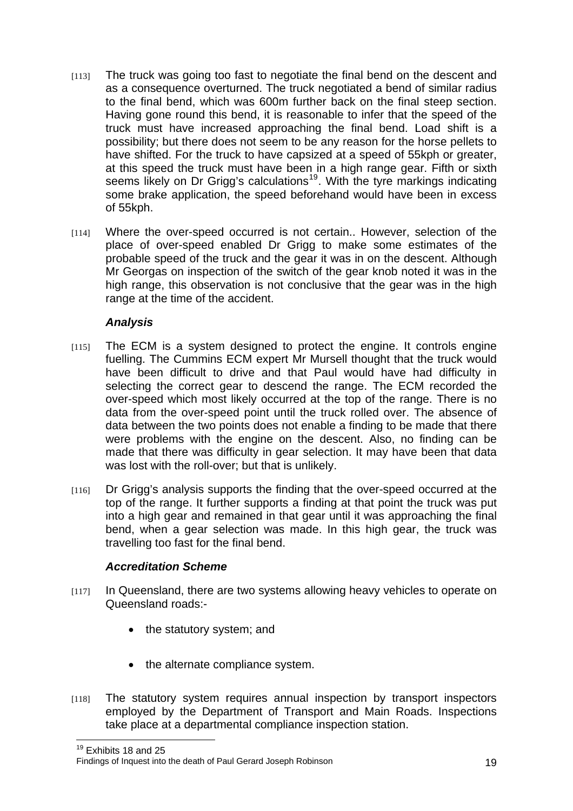- [113] The truck was going too fast to negotiate the final bend on the descent and as a consequence overturned. The truck negotiated a bend of similar radius to the final bend, which was 600m further back on the final steep section. Having gone round this bend, it is reasonable to infer that the speed of the truck must have increased approaching the final bend. Load shift is a possibility; but there does not seem to be any reason for the horse pellets to have shifted. For the truck to have capsized at a speed of 55kph or greater, at this speed the truck must have been in a high range gear. Fifth or sixth seems likely on Dr Grigg's calculations<sup>[19](#page-19-0)</sup>. With the tyre markings indicating some brake application, the speed beforehand would have been in excess of 55kph.
- [114] Where the over-speed occurred is not certain.. However, selection of the place of over-speed enabled Dr Grigg to make some estimates of the probable speed of the truck and the gear it was in on the descent. Although Mr Georgas on inspection of the switch of the gear knob noted it was in the high range, this observation is not conclusive that the gear was in the high range at the time of the accident.

## *Analysis*

- [115] The ECM is a system designed to protect the engine. It controls engine fuelling. The Cummins ECM expert Mr Mursell thought that the truck would have been difficult to drive and that Paul would have had difficulty in selecting the correct gear to descend the range. The ECM recorded the over-speed which most likely occurred at the top of the range. There is no data from the over-speed point until the truck rolled over. The absence of data between the two points does not enable a finding to be made that there were problems with the engine on the descent. Also, no finding can be made that there was difficulty in gear selection. It may have been that data was lost with the roll-over; but that is unlikely.
- [116] Dr Grigg's analysis supports the finding that the over-speed occurred at the top of the range. It further supports a finding at that point the truck was put into a high gear and remained in that gear until it was approaching the final bend, when a gear selection was made. In this high gear, the truck was travelling too fast for the final bend.

## *Accreditation Scheme*

- [117] In Queensland, there are two systems allowing heavy vehicles to operate on Queensland roads:-
	- the statutory system; and
	- the alternate compliance system.
- [118] The statutory system requires annual inspection by transport inspectors employed by the Department of Transport and Main Roads. Inspections take place at a departmental compliance inspection station.

<span id="page-19-0"></span> $19$  Exhibits 18 and 25

 $\overline{1}$ 

Findings of Inquest into the death of Paul Gerard Joseph Robinson 19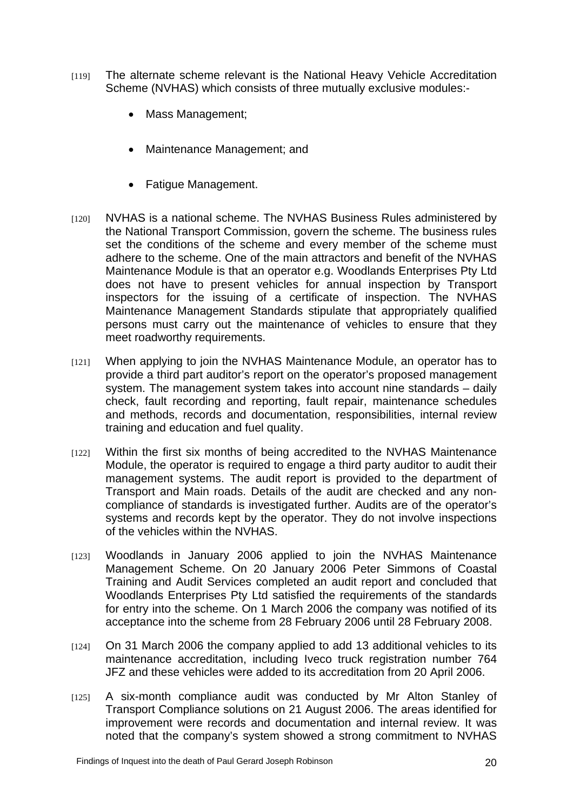- [119] The alternate scheme relevant is the National Heavy Vehicle Accreditation Scheme (NVHAS) which consists of three mutually exclusive modules:-
	- Mass Management;
	- Maintenance Management; and
	- Fatigue Management.
- [120] NVHAS is a national scheme. The NVHAS Business Rules administered by the National Transport Commission, govern the scheme. The business rules set the conditions of the scheme and every member of the scheme must adhere to the scheme. One of the main attractors and benefit of the NVHAS Maintenance Module is that an operator e.g. Woodlands Enterprises Pty Ltd does not have to present vehicles for annual inspection by Transport inspectors for the issuing of a certificate of inspection. The NVHAS Maintenance Management Standards stipulate that appropriately qualified persons must carry out the maintenance of vehicles to ensure that they meet roadworthy requirements.
- [121] When applying to join the NVHAS Maintenance Module, an operator has to provide a third part auditor's report on the operator's proposed management system. The management system takes into account nine standards – daily check, fault recording and reporting, fault repair, maintenance schedules and methods, records and documentation, responsibilities, internal review training and education and fuel quality.
- [122] Within the first six months of being accredited to the NVHAS Maintenance Module, the operator is required to engage a third party auditor to audit their management systems. The audit report is provided to the department of Transport and Main roads. Details of the audit are checked and any noncompliance of standards is investigated further. Audits are of the operator's systems and records kept by the operator. They do not involve inspections of the vehicles within the NVHAS.
- [123] Woodlands in January 2006 applied to join the NVHAS Maintenance Management Scheme. On 20 January 2006 Peter Simmons of Coastal Training and Audit Services completed an audit report and concluded that Woodlands Enterprises Pty Ltd satisfied the requirements of the standards for entry into the scheme. On 1 March 2006 the company was notified of its acceptance into the scheme from 28 February 2006 until 28 February 2008.
- [124] On 31 March 2006 the company applied to add 13 additional vehicles to its maintenance accreditation, including Iveco truck registration number 764 JFZ and these vehicles were added to its accreditation from 20 April 2006.
- [125] A six-month compliance audit was conducted by Mr Alton Stanley of Transport Compliance solutions on 21 August 2006. The areas identified for improvement were records and documentation and internal review. It was noted that the company's system showed a strong commitment to NVHAS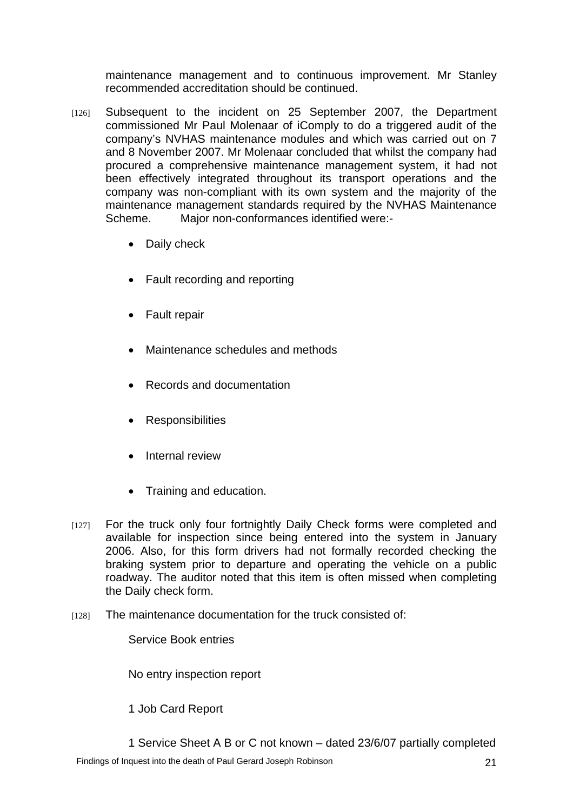maintenance management and to continuous improvement. Mr Stanley recommended accreditation should be continued.

- [126] Subsequent to the incident on 25 September 2007, the Department commissioned Mr Paul Molenaar of iComply to do a triggered audit of the company's NVHAS maintenance modules and which was carried out on 7 and 8 November 2007. Mr Molenaar concluded that whilst the company had procured a comprehensive maintenance management system, it had not been effectively integrated throughout its transport operations and the company was non-compliant with its own system and the majority of the maintenance management standards required by the NVHAS Maintenance Scheme. Major non-conformances identified were:-
	- Daily check
	- Fault recording and reporting
	- Fault repair
	- Maintenance schedules and methods
	- Records and documentation
	- Responsibilities
	- **Internal review**
	- Training and education.
- [127] For the truck only four fortnightly Daily Check forms were completed and available for inspection since being entered into the system in January 2006. Also, for this form drivers had not formally recorded checking the braking system prior to departure and operating the vehicle on a public roadway. The auditor noted that this item is often missed when completing the Daily check form.
- [128] The maintenance documentation for the truck consisted of:

Service Book entries

No entry inspection report

1 Job Card Report

1 Service Sheet A B or C not known – dated 23/6/07 partially completed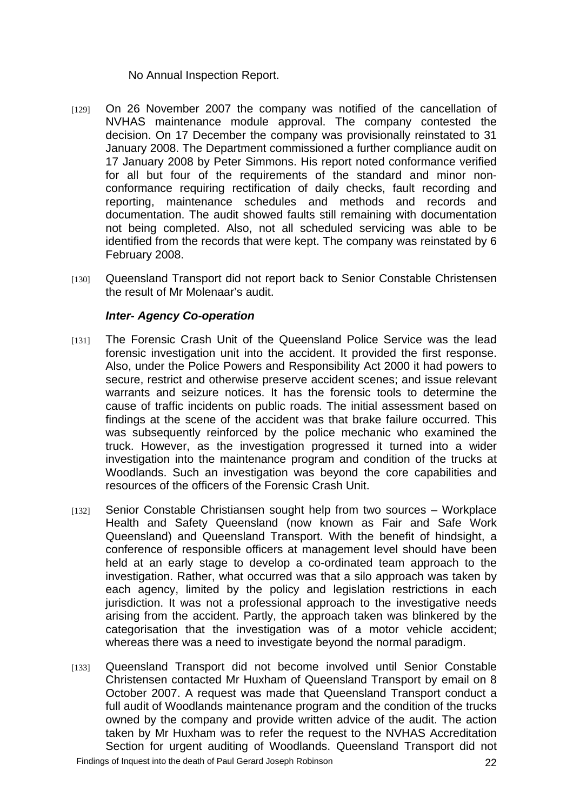#### No Annual Inspection Report.

- [129] On 26 November 2007 the company was notified of the cancellation of NVHAS maintenance module approval. The company contested the decision. On 17 December the company was provisionally reinstated to 31 January 2008. The Department commissioned a further compliance audit on 17 January 2008 by Peter Simmons. His report noted conformance verified for all but four of the requirements of the standard and minor nonconformance requiring rectification of daily checks, fault recording and reporting, maintenance schedules and methods and records and documentation. The audit showed faults still remaining with documentation not being completed. Also, not all scheduled servicing was able to be identified from the records that were kept. The company was reinstated by 6 February 2008.
- [130] Queensland Transport did not report back to Senior Constable Christensen the result of Mr Molenaar's audit.

#### *Inter- Agency Co-operation*

- [131] The Forensic Crash Unit of the Queensland Police Service was the lead forensic investigation unit into the accident. It provided the first response. Also, under the Police Powers and Responsibility Act 2000 it had powers to secure, restrict and otherwise preserve accident scenes; and issue relevant warrants and seizure notices. It has the forensic tools to determine the cause of traffic incidents on public roads. The initial assessment based on findings at the scene of the accident was that brake failure occurred. This was subsequently reinforced by the police mechanic who examined the truck. However, as the investigation progressed it turned into a wider investigation into the maintenance program and condition of the trucks at Woodlands. Such an investigation was beyond the core capabilities and resources of the officers of the Forensic Crash Unit.
- [132] Senior Constable Christiansen sought help from two sources Workplace Health and Safety Queensland (now known as Fair and Safe Work Queensland) and Queensland Transport. With the benefit of hindsight, a conference of responsible officers at management level should have been held at an early stage to develop a co-ordinated team approach to the investigation. Rather, what occurred was that a silo approach was taken by each agency, limited by the policy and legislation restrictions in each jurisdiction. It was not a professional approach to the investigative needs arising from the accident. Partly, the approach taken was blinkered by the categorisation that the investigation was of a motor vehicle accident; whereas there was a need to investigate beyond the normal paradigm.
- [133] Queensland Transport did not become involved until Senior Constable Christensen contacted Mr Huxham of Queensland Transport by email on 8 October 2007. A request was made that Queensland Transport conduct a full audit of Woodlands maintenance program and the condition of the trucks owned by the company and provide written advice of the audit. The action taken by Mr Huxham was to refer the request to the NVHAS Accreditation Section for urgent auditing of Woodlands. Queensland Transport did not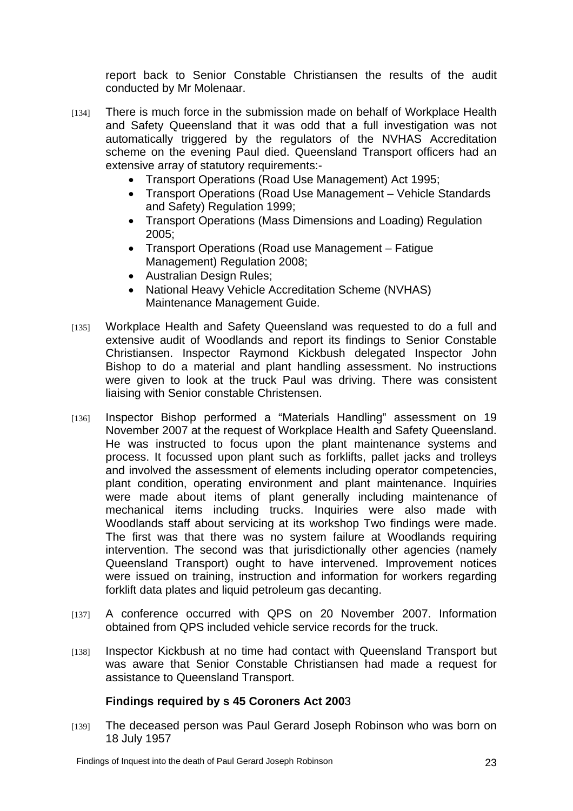report back to Senior Constable Christiansen the results of the audit conducted by Mr Molenaar.

- [134] There is much force in the submission made on behalf of Workplace Health and Safety Queensland that it was odd that a full investigation was not automatically triggered by the regulators of the NVHAS Accreditation scheme on the evening Paul died. Queensland Transport officers had an extensive array of statutory requirements:-
	- Transport Operations (Road Use Management) Act 1995;
	- Transport Operations (Road Use Management Vehicle Standards and Safety) Regulation 1999;
	- Transport Operations (Mass Dimensions and Loading) Regulation 2005;
	- Transport Operations (Road use Management Fatigue Management) Regulation 2008;
	- Australian Design Rules;
	- National Heavy Vehicle Accreditation Scheme (NVHAS) Maintenance Management Guide.
- [135] Workplace Health and Safety Queensland was requested to do a full and extensive audit of Woodlands and report its findings to Senior Constable Christiansen. Inspector Raymond Kickbush delegated Inspector John Bishop to do a material and plant handling assessment. No instructions were given to look at the truck Paul was driving. There was consistent liaising with Senior constable Christensen.
- [136] Inspector Bishop performed a "Materials Handling" assessment on 19 November 2007 at the request of Workplace Health and Safety Queensland. He was instructed to focus upon the plant maintenance systems and process. It focussed upon plant such as forklifts, pallet jacks and trolleys and involved the assessment of elements including operator competencies, plant condition, operating environment and plant maintenance. Inquiries were made about items of plant generally including maintenance of mechanical items including trucks. Inquiries were also made with Woodlands staff about servicing at its workshop Two findings were made. The first was that there was no system failure at Woodlands requiring intervention. The second was that jurisdictionally other agencies (namely Queensland Transport) ought to have intervened. Improvement notices were issued on training, instruction and information for workers regarding forklift data plates and liquid petroleum gas decanting.
- [137] A conference occurred with QPS on 20 November 2007. Information obtained from QPS included vehicle service records for the truck.
- [138] Inspector Kickbush at no time had contact with Queensland Transport but was aware that Senior Constable Christiansen had made a request for assistance to Queensland Transport.

## **Findings required by s 45 Coroners Act 200**3

[139] The deceased person was Paul Gerard Joseph Robinson who was born on 18 July 1957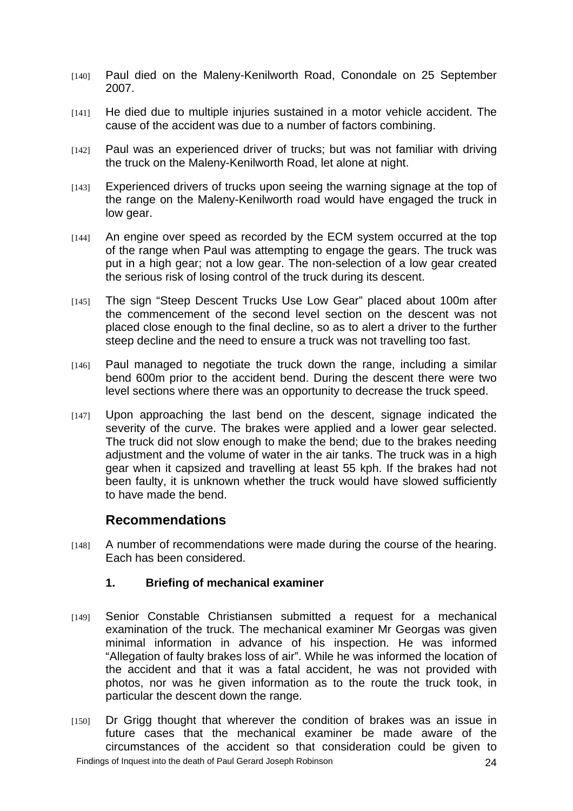- [140] Paul died on the Maleny-Kenilworth Road, Conondale on 25 September 2007.
- [141] He died due to multiple injuries sustained in a motor vehicle accident. The cause of the accident was due to a number of factors combining.
- [142] Paul was an experienced driver of trucks; but was not familiar with driving the truck on the Maleny-Kenilworth Road, let alone at night.
- [143] Experienced drivers of trucks upon seeing the warning signage at the top of the range on the Maleny-Kenilworth road would have engaged the truck in low gear.
- [144] An engine over speed as recorded by the ECM system occurred at the top of the range when Paul was attempting to engage the gears. The truck was put in a high gear; not a low gear. The non-selection of a low gear created the serious risk of losing control of the truck during its descent.
- [145] The sign "Steep Descent Trucks Use Low Gear" placed about 100m after the commencement of the second level section on the descent was not placed close enough to the final decline, so as to alert a driver to the further steep decline and the need to ensure a truck was not travelling too fast.
- [146] Paul managed to negotiate the truck down the range, including a similar bend 600m prior to the accident bend. During the descent there were two level sections where there was an opportunity to decrease the truck speed.
- [147] Upon approaching the last bend on the descent, signage indicated the severity of the curve. The brakes were applied and a lower gear selected. The truck did not slow enough to make the bend; due to the brakes needing adjustment and the volume of water in the air tanks. The truck was in a high gear when it capsized and travelling at least 55 kph. If the brakes had not been faulty, it is unknown whether the truck would have slowed sufficiently to have made the bend.

# **Recommendations**

[148] A number of recommendations were made during the course of the hearing. Each has been considered.

#### **1. Briefing of mechanical examiner**

- [149] Senior Constable Christiansen submitted a request for a mechanical examination of the truck. The mechanical examiner Mr Georgas was given minimal information in advance of his inspection. He was informed "Allegation of faulty brakes loss of air". While he was informed the location of the accident and that it was a fatal accident, he was not provided with photos, nor was he given information as to the route the truck took, in particular the descent down the range.
- [150] Dr Grigg thought that wherever the condition of brakes was an issue in future cases that the mechanical examiner be made aware of the circumstances of the accident so that consideration could be given to Findings of Inquest into the death of Paul Gerard Joseph Robinson 24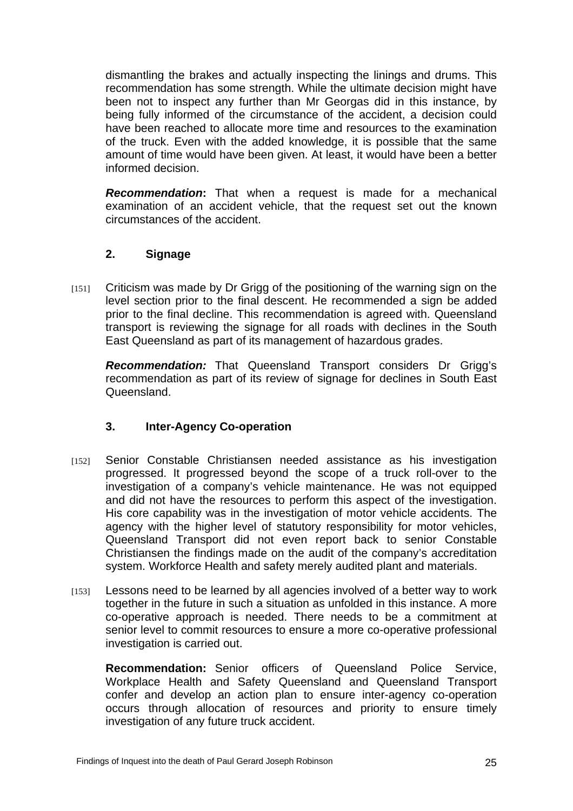dismantling the brakes and actually inspecting the linings and drums. This recommendation has some strength. While the ultimate decision might have been not to inspect any further than Mr Georgas did in this instance, by being fully informed of the circumstance of the accident, a decision could have been reached to allocate more time and resources to the examination of the truck. Even with the added knowledge, it is possible that the same amount of time would have been given. At least, it would have been a better informed decision.

*Recommendation***:** That when a request is made for a mechanical examination of an accident vehicle, that the request set out the known circumstances of the accident.

## **2. Signage**

[151] Criticism was made by Dr Grigg of the positioning of the warning sign on the level section prior to the final descent. He recommended a sign be added prior to the final decline. This recommendation is agreed with. Queensland transport is reviewing the signage for all roads with declines in the South East Queensland as part of its management of hazardous grades.

*Recommendation:* That Queensland Transport considers Dr Grigg's recommendation as part of its review of signage for declines in South East Queensland.

#### **3. Inter-Agency Co-operation**

- [152] Senior Constable Christiansen needed assistance as his investigation progressed. It progressed beyond the scope of a truck roll-over to the investigation of a company's vehicle maintenance. He was not equipped and did not have the resources to perform this aspect of the investigation. His core capability was in the investigation of motor vehicle accidents. The agency with the higher level of statutory responsibility for motor vehicles, Queensland Transport did not even report back to senior Constable Christiansen the findings made on the audit of the company's accreditation system. Workforce Health and safety merely audited plant and materials.
- [153] Lessons need to be learned by all agencies involved of a better way to work together in the future in such a situation as unfolded in this instance. A more co-operative approach is needed. There needs to be a commitment at senior level to commit resources to ensure a more co-operative professional investigation is carried out.

**Recommendation:** Senior officers of Queensland Police Service, Workplace Health and Safety Queensland and Queensland Transport confer and develop an action plan to ensure inter-agency co-operation occurs through allocation of resources and priority to ensure timely investigation of any future truck accident.